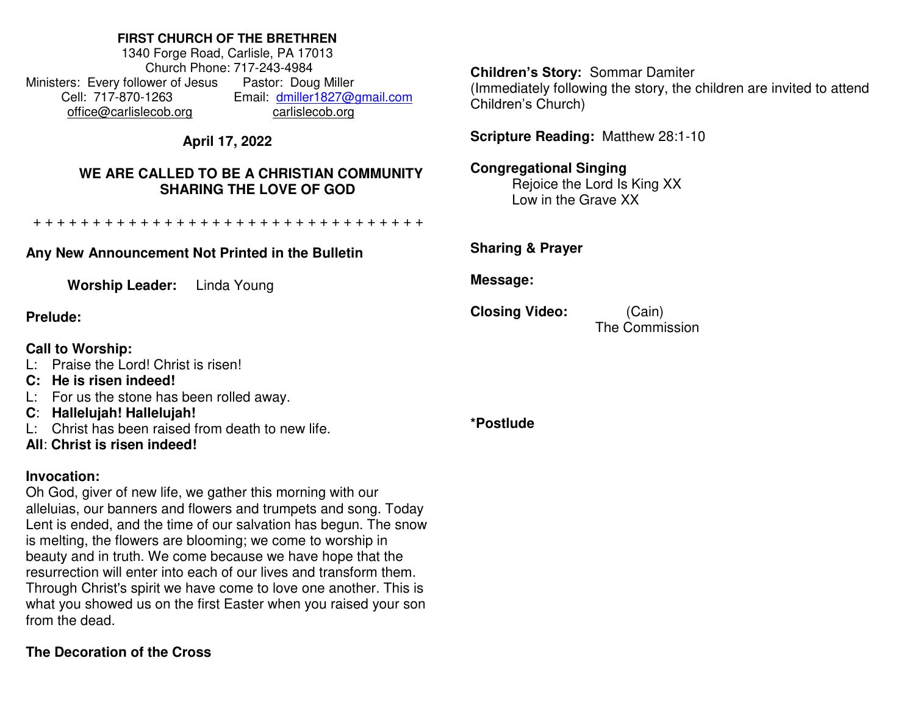# **FIRST CHURCH OF THE BRETHREN**

1340 Forge Road, Carlisle, PA 17013 Church Phone: 717-243-4984 Ministers: Every follower of Jesus Pastor: Doug Miller Cell: 717-870-1263 Email: [dmiller1827@gmail.com](mailto:dmiller1827@gmail.com) [office@carlislecob.org](mailto:office@carlislecob.org) carlislecob.org

# **April 17, 2022**

# **WE ARE CALLED TO BE A CHRISTIAN COMMUNITY SHARING THE LOVE OF GOD**

+ + + + + + + + + + + + + + + + + + + + + + + + + + + + + + + + +

## **Any New Announcement Not Printed in the Bulletin**

**Worship Leader:** Linda Young

## **Prelude:**

# **Call to Worship:**

- L: Praise the Lord! Christ is risen!
- **C: He is risen indeed!**
- L: For us the stone has been rolled away.
- **C**: **Hallelujah! Hallelujah!**
- L: Christ has been raised from death to new life.
- **All**: **Christ is risen indeed!**

# **Invocation:**

Oh God, giver of new life, we gather this morning with our alleluias, our banners and flowers and trumpets and song. Today Lent is ended, and the time of our salvation has begun. The snow is melting, the flowers are blooming; we come to worship in beauty and in truth. We come because we have hope that the resurrection will enter into each of our lives and transform them. Through Christ's spirit we have come to love one another. This is what you showed us on the first Easter when you raised your son from the dead.

# **The Decoration of the Cross**

**Children's Story:** Sommar Damiter (Immediately following the story, the children are invited to attend Children's Church)

**Scripture Reading:** Matthew 28:1-10

#### **Congregational Singing**  Rejoice the Lord Is King XX

Low in the Grave XX

**Sharing & Prayer** 

**Message:** 

**Closing Video:** (Cain)

The Commission

**\*Postlude**